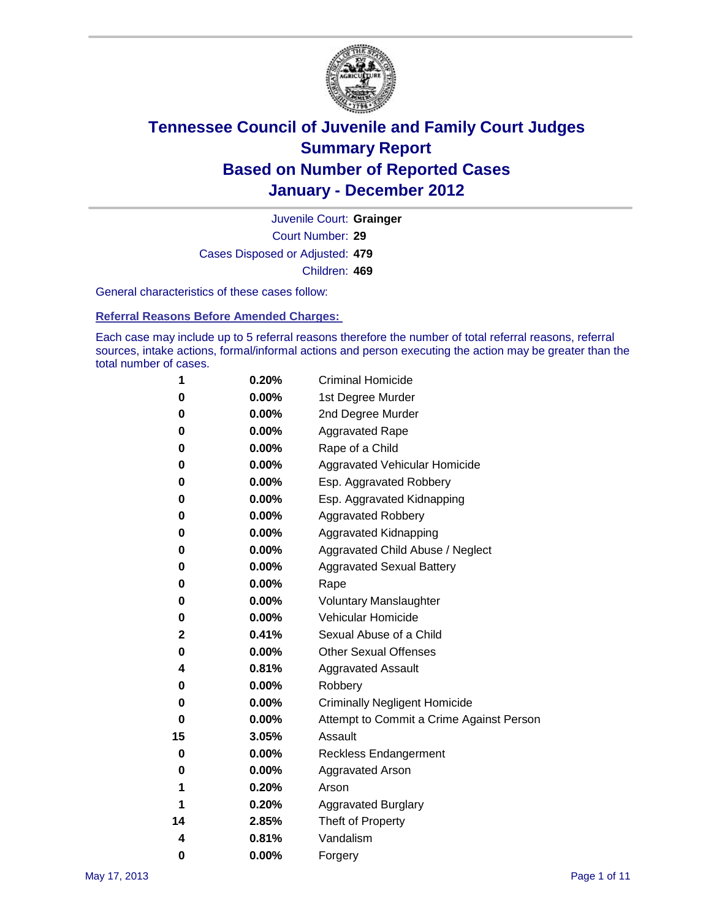

Court Number: **29** Juvenile Court: **Grainger** Cases Disposed or Adjusted: **479** Children: **469**

General characteristics of these cases follow:

**Referral Reasons Before Amended Charges:** 

Each case may include up to 5 referral reasons therefore the number of total referral reasons, referral sources, intake actions, formal/informal actions and person executing the action may be greater than the total number of cases.

| 1  | 0.20%    | <b>Criminal Homicide</b>                 |  |  |  |
|----|----------|------------------------------------------|--|--|--|
| 0  | 0.00%    | 1st Degree Murder                        |  |  |  |
| 0  | 0.00%    | 2nd Degree Murder                        |  |  |  |
| 0  | 0.00%    | <b>Aggravated Rape</b>                   |  |  |  |
| 0  | 0.00%    | Rape of a Child                          |  |  |  |
| 0  | 0.00%    | Aggravated Vehicular Homicide            |  |  |  |
| 0  | 0.00%    | Esp. Aggravated Robbery                  |  |  |  |
| 0  | 0.00%    | Esp. Aggravated Kidnapping               |  |  |  |
| 0  | 0.00%    | <b>Aggravated Robbery</b>                |  |  |  |
| 0  | 0.00%    | Aggravated Kidnapping                    |  |  |  |
| 0  | 0.00%    | Aggravated Child Abuse / Neglect         |  |  |  |
| 0  | $0.00\%$ | <b>Aggravated Sexual Battery</b>         |  |  |  |
| 0  | 0.00%    | Rape                                     |  |  |  |
| 0  | $0.00\%$ | <b>Voluntary Manslaughter</b>            |  |  |  |
| 0  | 0.00%    | Vehicular Homicide                       |  |  |  |
| 2  | 0.41%    | Sexual Abuse of a Child                  |  |  |  |
| 0  | 0.00%    | <b>Other Sexual Offenses</b>             |  |  |  |
| 4  | 0.81%    | <b>Aggravated Assault</b>                |  |  |  |
| 0  | $0.00\%$ | Robbery                                  |  |  |  |
| 0  | 0.00%    | <b>Criminally Negligent Homicide</b>     |  |  |  |
| 0  | 0.00%    | Attempt to Commit a Crime Against Person |  |  |  |
| 15 | 3.05%    | Assault                                  |  |  |  |
| 0  | 0.00%    | <b>Reckless Endangerment</b>             |  |  |  |
| 0  | 0.00%    | <b>Aggravated Arson</b>                  |  |  |  |
| 1  | 0.20%    | Arson                                    |  |  |  |
| 1  | 0.20%    | <b>Aggravated Burglary</b>               |  |  |  |
| 14 | 2.85%    | Theft of Property                        |  |  |  |
| 4  | 0.81%    | Vandalism                                |  |  |  |
| 0  | 0.00%    | Forgery                                  |  |  |  |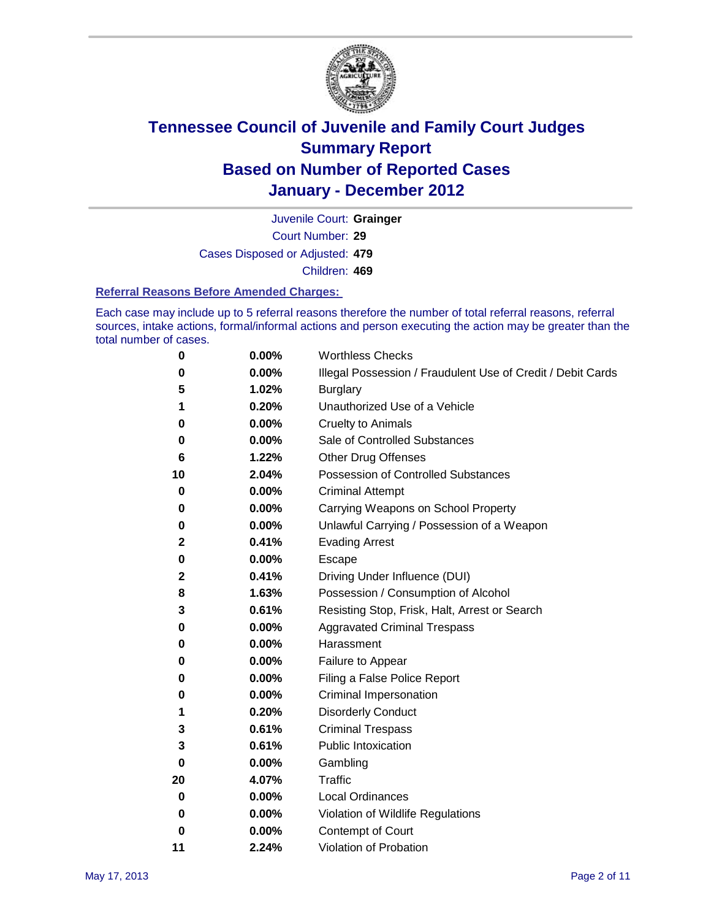

Court Number: **29** Juvenile Court: **Grainger** Cases Disposed or Adjusted: **479** Children: **469**

#### **Referral Reasons Before Amended Charges:**

Each case may include up to 5 referral reasons therefore the number of total referral reasons, referral sources, intake actions, formal/informal actions and person executing the action may be greater than the total number of cases.

| 0  | 0.00% | <b>Worthless Checks</b>                                     |
|----|-------|-------------------------------------------------------------|
| 0  | 0.00% | Illegal Possession / Fraudulent Use of Credit / Debit Cards |
| 5  | 1.02% | <b>Burglary</b>                                             |
| 1  | 0.20% | Unauthorized Use of a Vehicle                               |
| 0  | 0.00% | <b>Cruelty to Animals</b>                                   |
| 0  | 0.00% | Sale of Controlled Substances                               |
| 6  | 1.22% | <b>Other Drug Offenses</b>                                  |
| 10 | 2.04% | <b>Possession of Controlled Substances</b>                  |
| 0  | 0.00% | <b>Criminal Attempt</b>                                     |
| 0  | 0.00% | Carrying Weapons on School Property                         |
| 0  | 0.00% | Unlawful Carrying / Possession of a Weapon                  |
| 2  | 0.41% | <b>Evading Arrest</b>                                       |
| 0  | 0.00% | Escape                                                      |
| 2  | 0.41% | Driving Under Influence (DUI)                               |
| 8  | 1.63% | Possession / Consumption of Alcohol                         |
| 3  | 0.61% | Resisting Stop, Frisk, Halt, Arrest or Search               |
| 0  | 0.00% | <b>Aggravated Criminal Trespass</b>                         |
| 0  | 0.00% | Harassment                                                  |
| 0  | 0.00% | Failure to Appear                                           |
| 0  | 0.00% | Filing a False Police Report                                |
| 0  | 0.00% | Criminal Impersonation                                      |
| 1  | 0.20% | <b>Disorderly Conduct</b>                                   |
| 3  | 0.61% | <b>Criminal Trespass</b>                                    |
| 3  | 0.61% | <b>Public Intoxication</b>                                  |
| 0  | 0.00% | Gambling                                                    |
| 20 | 4.07% | Traffic                                                     |
| 0  | 0.00% | <b>Local Ordinances</b>                                     |
| 0  | 0.00% | Violation of Wildlife Regulations                           |
| 0  | 0.00% | Contempt of Court                                           |
| 11 | 2.24% | Violation of Probation                                      |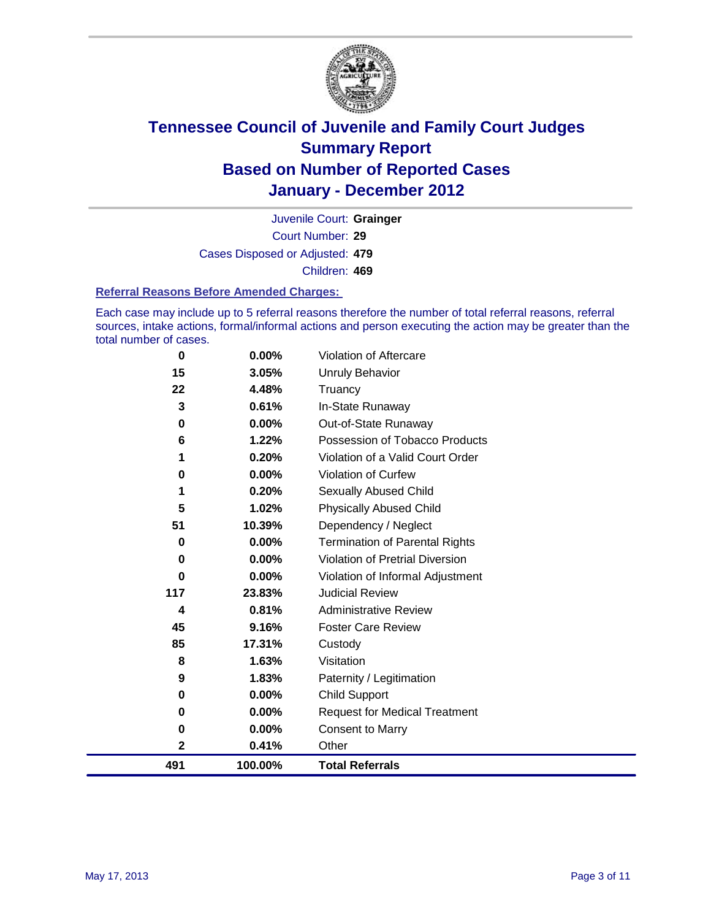

Court Number: **29** Juvenile Court: **Grainger** Cases Disposed or Adjusted: **479** Children: **469**

#### **Referral Reasons Before Amended Charges:**

Each case may include up to 5 referral reasons therefore the number of total referral reasons, referral sources, intake actions, formal/informal actions and person executing the action may be greater than the total number of cases.

| 0            | 0.00%   | Violation of Aftercare                 |
|--------------|---------|----------------------------------------|
| 15           | 3.05%   | <b>Unruly Behavior</b>                 |
| 22           | 4.48%   | Truancy                                |
| 3            | 0.61%   | In-State Runaway                       |
| 0            | 0.00%   | Out-of-State Runaway                   |
| 6            | 1.22%   | Possession of Tobacco Products         |
|              | 0.20%   | Violation of a Valid Court Order       |
| 0            | 0.00%   | Violation of Curfew                    |
| 1            | 0.20%   | Sexually Abused Child                  |
| 5            | 1.02%   | <b>Physically Abused Child</b>         |
| 51           | 10.39%  | Dependency / Neglect                   |
| 0            | 0.00%   | <b>Termination of Parental Rights</b>  |
| 0            | 0.00%   | <b>Violation of Pretrial Diversion</b> |
| 0            | 0.00%   | Violation of Informal Adjustment       |
| 117          | 23.83%  | <b>Judicial Review</b>                 |
| 4            | 0.81%   | <b>Administrative Review</b>           |
| 45           | 9.16%   | <b>Foster Care Review</b>              |
| 85           | 17.31%  | Custody                                |
| 8            | 1.63%   | Visitation                             |
| 9            | 1.83%   | Paternity / Legitimation               |
| 0            | 0.00%   | <b>Child Support</b>                   |
| 0            | 0.00%   | <b>Request for Medical Treatment</b>   |
| 0            | 0.00%   | <b>Consent to Marry</b>                |
| $\mathbf{2}$ | 0.41%   | Other                                  |
| 491          | 100.00% | <b>Total Referrals</b>                 |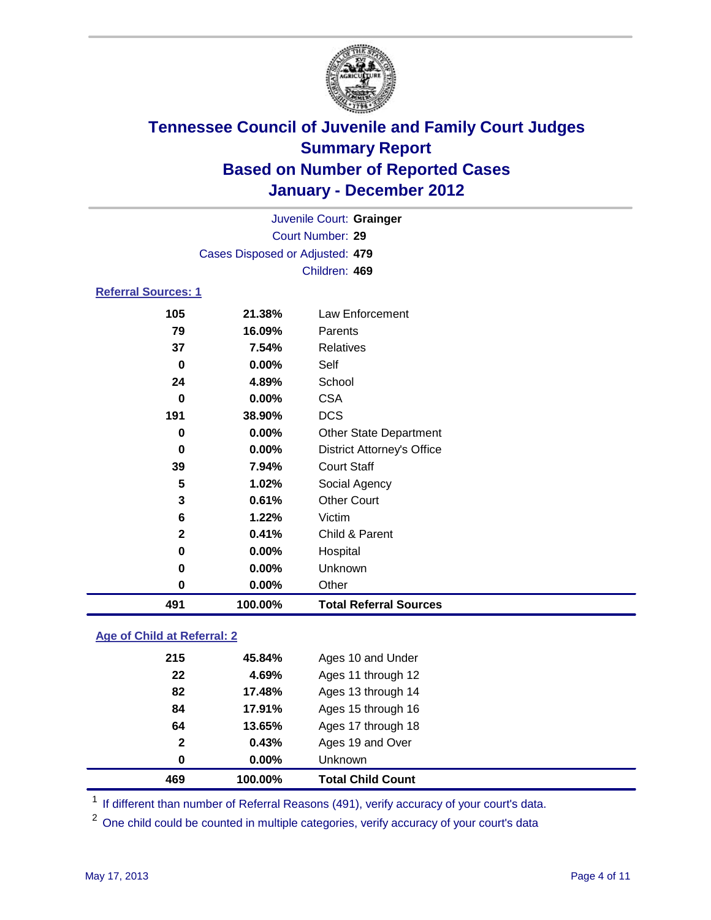

|                            |                                 | Juvenile Court: Grainger          |  |  |
|----------------------------|---------------------------------|-----------------------------------|--|--|
| Court Number: 29           |                                 |                                   |  |  |
|                            | Cases Disposed or Adjusted: 479 |                                   |  |  |
|                            |                                 | Children: 469                     |  |  |
| <b>Referral Sources: 1</b> |                                 |                                   |  |  |
| 105                        | 21.38%                          | Law Enforcement                   |  |  |
| 79                         | 16.09%                          | Parents                           |  |  |
| 37                         | 7.54%                           | <b>Relatives</b>                  |  |  |
| 0                          | $0.00\%$                        | Self                              |  |  |
| 24                         | 4.89%                           | School                            |  |  |
| $\bf{0}$                   | $0.00\%$                        | <b>CSA</b>                        |  |  |
| 191                        | 38.90%                          | <b>DCS</b>                        |  |  |
| 0                          | $0.00\%$                        | <b>Other State Department</b>     |  |  |
| 0                          | $0.00\%$                        | <b>District Attorney's Office</b> |  |  |
| 39                         | 7.94%                           | <b>Court Staff</b>                |  |  |
| 5                          | 1.02%                           | Social Agency                     |  |  |
| 3                          | 0.61%                           | <b>Other Court</b>                |  |  |
| 6                          | 1.22%                           | Victim                            |  |  |
| $\mathbf{2}$               | 0.41%                           | Child & Parent                    |  |  |
| 0                          | 0.00%                           | Hospital                          |  |  |
| 0                          | 0.00%                           | Unknown                           |  |  |
| 0                          | 0.00%                           | Other                             |  |  |

### **Age of Child at Referral: 2**

| 0.43%<br>$0.00\%$ | Ages 19 and Over<br>Unknown |
|-------------------|-----------------------------|
|                   |                             |
|                   |                             |
| 13.65%            | Ages 17 through 18          |
| 17.91%            | Ages 15 through 16          |
| 17.48%<br>82      | Ages 13 through 14          |
| 22<br>4.69%       | Ages 11 through 12          |
| 215               | Ages 10 and Under           |
|                   | 45.84%                      |

<sup>1</sup> If different than number of Referral Reasons (491), verify accuracy of your court's data.

**100.00% Total Referral Sources**

<sup>2</sup> One child could be counted in multiple categories, verify accuracy of your court's data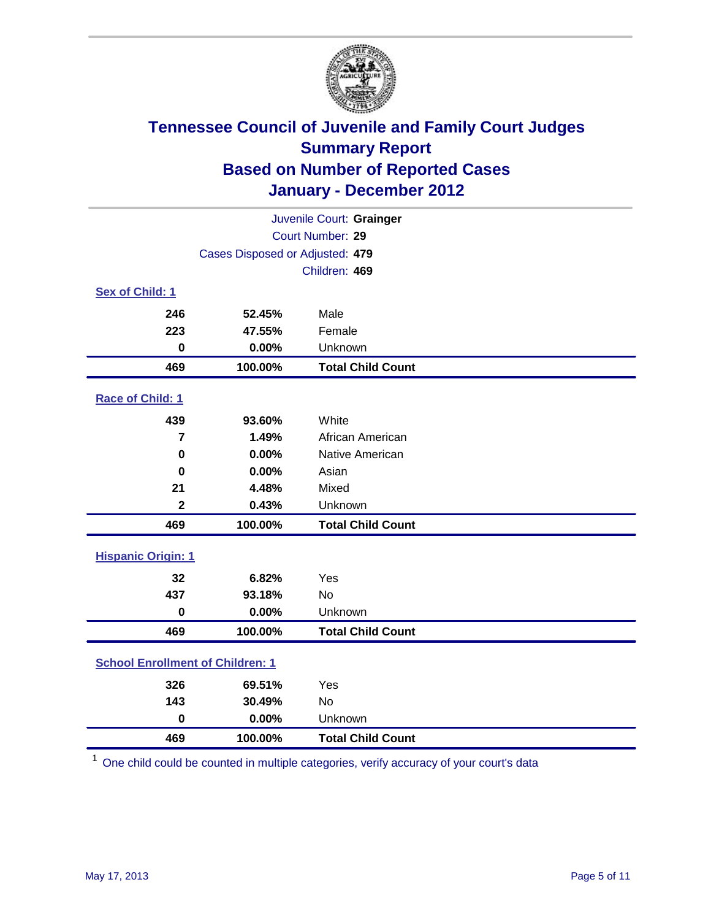

| Juvenile Court: Grainger                |                                 |                          |  |  |  |
|-----------------------------------------|---------------------------------|--------------------------|--|--|--|
|                                         | Court Number: 29                |                          |  |  |  |
|                                         | Cases Disposed or Adjusted: 479 |                          |  |  |  |
|                                         |                                 | Children: 469            |  |  |  |
| Sex of Child: 1                         |                                 |                          |  |  |  |
| 246                                     | 52.45%                          | Male                     |  |  |  |
| 223                                     | 47.55%                          | Female                   |  |  |  |
| $\mathbf 0$                             | 0.00%                           | Unknown                  |  |  |  |
| 469                                     | 100.00%                         | <b>Total Child Count</b> |  |  |  |
| Race of Child: 1                        |                                 |                          |  |  |  |
| 439                                     | 93.60%                          | White                    |  |  |  |
| $\overline{7}$                          | 1.49%                           | African American         |  |  |  |
| $\mathbf 0$                             | 0.00%                           | Native American          |  |  |  |
| 0                                       | 0.00%                           | Asian                    |  |  |  |
| 21                                      | 4.48%                           | Mixed                    |  |  |  |
| $\overline{\mathbf{2}}$                 | 0.43%                           | Unknown                  |  |  |  |
| 469                                     | 100.00%                         | <b>Total Child Count</b> |  |  |  |
| <b>Hispanic Origin: 1</b>               |                                 |                          |  |  |  |
| 32                                      | 6.82%                           | Yes                      |  |  |  |
| 437                                     | 93.18%                          | <b>No</b>                |  |  |  |
| $\mathbf 0$                             | 0.00%                           | Unknown                  |  |  |  |
| 469                                     | 100.00%                         | <b>Total Child Count</b> |  |  |  |
| <b>School Enrollment of Children: 1</b> |                                 |                          |  |  |  |
| 326                                     | 69.51%                          | Yes                      |  |  |  |
| 143                                     | 30.49%                          | <b>No</b>                |  |  |  |
| $\mathbf 0$                             | 0.00%                           | Unknown                  |  |  |  |
| 469                                     | 100.00%                         | <b>Total Child Count</b> |  |  |  |

One child could be counted in multiple categories, verify accuracy of your court's data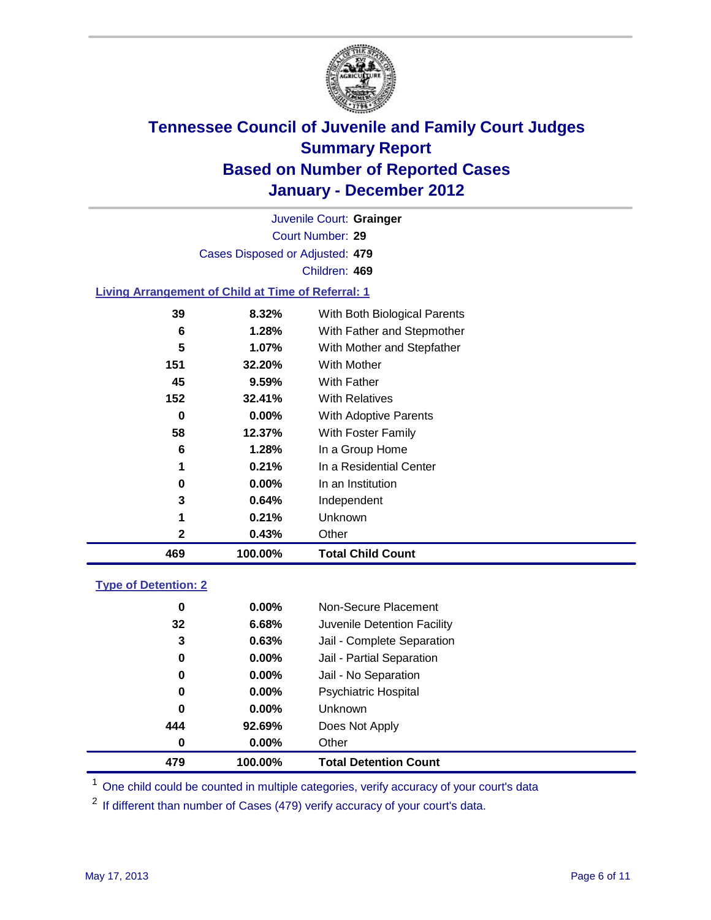

Court Number: **29** Juvenile Court: **Grainger** Cases Disposed or Adjusted: **479** Children: **469**

#### **Living Arrangement of Child at Time of Referral: 1**

| 469 | 100.00%  | <b>Total Child Count</b>     |
|-----|----------|------------------------------|
| 2   | 0.43%    | Other                        |
| 1   | 0.21%    | Unknown                      |
| 3   | $0.64\%$ | Independent                  |
| 0   | $0.00\%$ | In an Institution            |
|     | 0.21%    | In a Residential Center      |
| 6   | 1.28%    | In a Group Home              |
| 58  | 12.37%   | With Foster Family           |
| 0   | $0.00\%$ | With Adoptive Parents        |
| 152 | 32.41%   | <b>With Relatives</b>        |
| 45  | 9.59%    | With Father                  |
| 151 | 32.20%   | With Mother                  |
| 5   | 1.07%    | With Mother and Stepfather   |
| 6   | 1.28%    | With Father and Stepmother   |
| 39  | 8.32%    | With Both Biological Parents |

#### **Type of Detention: 2**

| 479      | 100.00%  | <b>Total Detention Count</b> |  |
|----------|----------|------------------------------|--|
| $\bf{0}$ | 0.00%    | Other                        |  |
| 444      | 92.69%   | Does Not Apply               |  |
| 0        | $0.00\%$ | Unknown                      |  |
| 0        | $0.00\%$ | Psychiatric Hospital         |  |
| 0        | 0.00%    | Jail - No Separation         |  |
| 0        | $0.00\%$ | Jail - Partial Separation    |  |
| 3        | 0.63%    | Jail - Complete Separation   |  |
| 32       | 6.68%    | Juvenile Detention Facility  |  |
| 0        | $0.00\%$ | Non-Secure Placement         |  |
|          |          |                              |  |

<sup>1</sup> One child could be counted in multiple categories, verify accuracy of your court's data

<sup>2</sup> If different than number of Cases (479) verify accuracy of your court's data.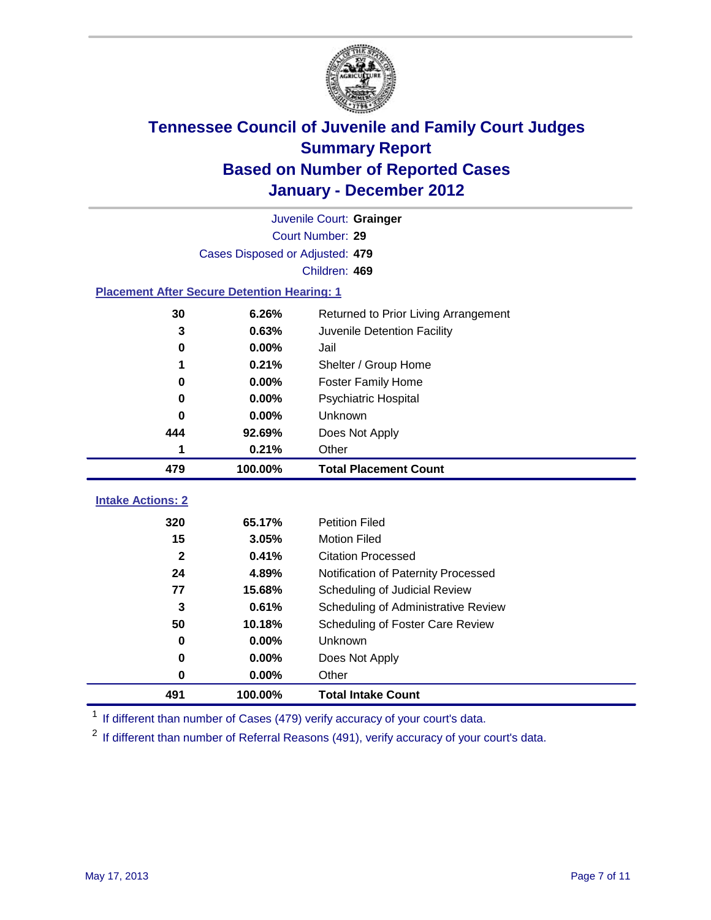

|                                                    | Juvenile Court: Grainger        |                                      |  |  |  |
|----------------------------------------------------|---------------------------------|--------------------------------------|--|--|--|
|                                                    | Court Number: 29                |                                      |  |  |  |
|                                                    | Cases Disposed or Adjusted: 479 |                                      |  |  |  |
|                                                    |                                 | Children: 469                        |  |  |  |
| <b>Placement After Secure Detention Hearing: 1</b> |                                 |                                      |  |  |  |
| 30                                                 | 6.26%                           | Returned to Prior Living Arrangement |  |  |  |
| 3                                                  | 0.63%                           | Juvenile Detention Facility          |  |  |  |
| $\bf{0}$                                           | 0.00%                           | Jail                                 |  |  |  |
| 1                                                  | 0.21%                           | Shelter / Group Home                 |  |  |  |
| $\bf{0}$                                           | 0.00%                           | <b>Foster Family Home</b>            |  |  |  |
| 0                                                  | 0.00%                           | Psychiatric Hospital                 |  |  |  |
| 0                                                  | 0.00%                           | Unknown                              |  |  |  |
| 444                                                | 92.69%                          | Does Not Apply                       |  |  |  |
| 1                                                  | 0.21%                           | Other                                |  |  |  |
| 479                                                | 100.00%                         | <b>Total Placement Count</b>         |  |  |  |
| <b>Intake Actions: 2</b>                           |                                 |                                      |  |  |  |
| 320                                                | 65.17%                          | <b>Petition Filed</b>                |  |  |  |
| 15                                                 | 3.05%                           | <b>Motion Filed</b>                  |  |  |  |
| $\mathbf{2}$                                       | 0.41%                           | <b>Citation Processed</b>            |  |  |  |
| 24                                                 | 4.89%                           | Notification of Paternity Processed  |  |  |  |
| 77                                                 | 15.68%                          | Scheduling of Judicial Review        |  |  |  |
| 3                                                  | 0.61%                           | Scheduling of Administrative Review  |  |  |  |
| 50                                                 | 10.18%                          | Scheduling of Foster Care Review     |  |  |  |
| $\bf{0}$                                           | 0.00%                           | Unknown                              |  |  |  |
| 0                                                  | 0.00%                           | Does Not Apply                       |  |  |  |
|                                                    |                                 |                                      |  |  |  |
| $\bf{0}$                                           | 0.00%                           | Other                                |  |  |  |

<sup>1</sup> If different than number of Cases (479) verify accuracy of your court's data.

<sup>2</sup> If different than number of Referral Reasons (491), verify accuracy of your court's data.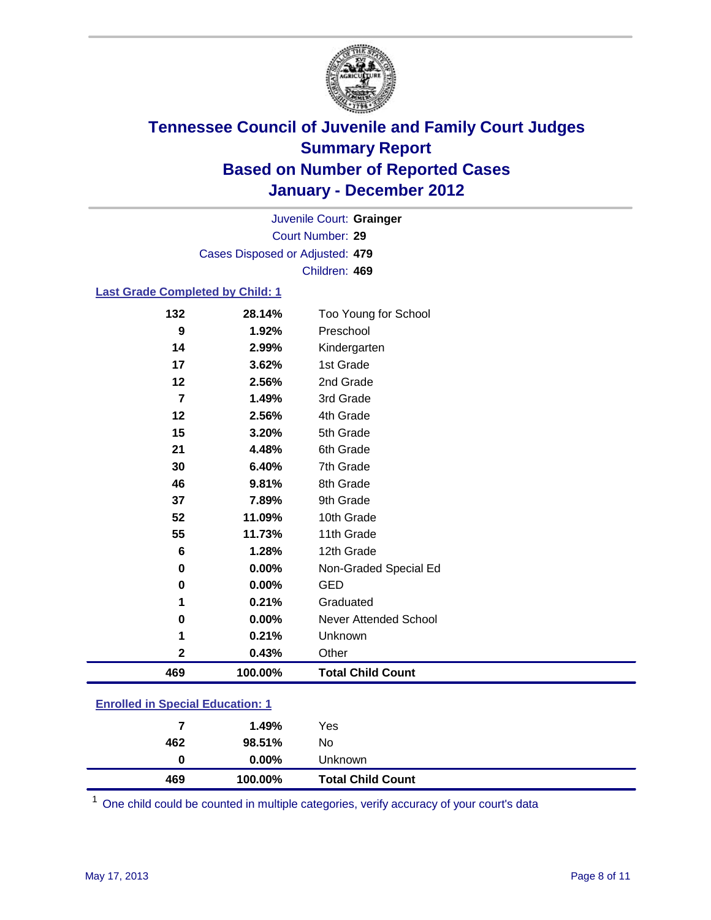

Court Number: **29** Juvenile Court: **Grainger** Cases Disposed or Adjusted: **479** Children: **469**

#### **Last Grade Completed by Child: 1**

| 469            | 100.00% | <b>Total Child Count</b>     |  |
|----------------|---------|------------------------------|--|
| $\mathbf 2$    | 0.43%   | Other                        |  |
| 1              | 0.21%   | Unknown                      |  |
| 0              | 0.00%   | <b>Never Attended School</b> |  |
| 1              | 0.21%   | Graduated                    |  |
| $\bf{0}$       | 0.00%   | <b>GED</b>                   |  |
| 0              | 0.00%   | Non-Graded Special Ed        |  |
| 6              | 1.28%   | 12th Grade                   |  |
| 55             | 11.73%  | 11th Grade                   |  |
| 52             | 11.09%  | 10th Grade                   |  |
| 37             | 7.89%   | 9th Grade                    |  |
| 46             | 9.81%   | 8th Grade                    |  |
| 30             | 6.40%   | 7th Grade                    |  |
| 21             | 4.48%   | 6th Grade                    |  |
| 15             | 3.20%   | 5th Grade                    |  |
| 12             | 2.56%   | 4th Grade                    |  |
| $\overline{7}$ | 1.49%   | 3rd Grade                    |  |
| 12             | 2.56%   | 2nd Grade                    |  |
| 17             | 3.62%   | 1st Grade                    |  |
| 14             | 2.99%   | Kindergarten                 |  |
| 9              | 1.92%   | Preschool                    |  |
| 132            | 28.14%  | Too Young for School         |  |

### **Enrolled in Special Education: 1**

| 469 | 100.00%       | <b>Total Child Count</b> |
|-----|---------------|--------------------------|
|     | $0.00\%$<br>0 | Unknown                  |
| 462 | 98.51%        | No                       |
|     | 1.49%<br>7    | Yes                      |
|     |               |                          |

One child could be counted in multiple categories, verify accuracy of your court's data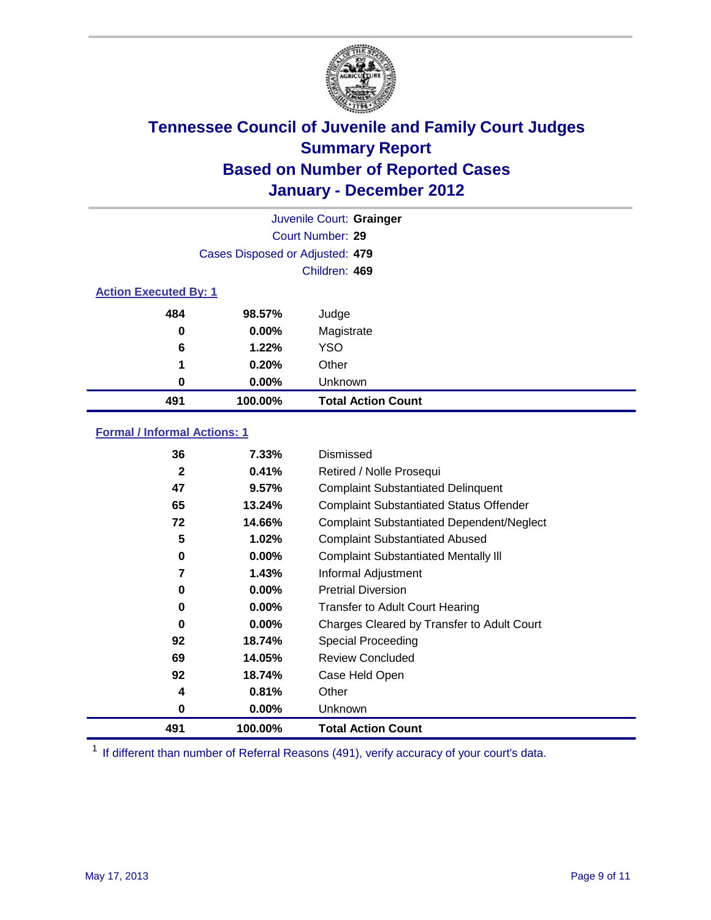

|                              | Juvenile Court: Grainger        |                           |  |  |  |
|------------------------------|---------------------------------|---------------------------|--|--|--|
|                              | Court Number: 29                |                           |  |  |  |
|                              | Cases Disposed or Adjusted: 479 |                           |  |  |  |
|                              |                                 | Children: 469             |  |  |  |
| <b>Action Executed By: 1</b> |                                 |                           |  |  |  |
| 484                          | 98.57%                          | Judge                     |  |  |  |
| $\bf{0}$                     | $0.00\%$                        | Magistrate                |  |  |  |
| 6                            | 1.22%                           | <b>YSO</b>                |  |  |  |
| 1                            | 0.20%                           | Other                     |  |  |  |
| 0                            | 0.00%                           | Unknown                   |  |  |  |
| 491                          | 100.00%                         | <b>Total Action Count</b> |  |  |  |

### **Formal / Informal Actions: 1**

| 36           | 7.33%    | Dismissed                                        |
|--------------|----------|--------------------------------------------------|
| $\mathbf{2}$ | 0.41%    | Retired / Nolle Prosequi                         |
| 47           | 9.57%    | <b>Complaint Substantiated Delinquent</b>        |
| 65           | 13.24%   | <b>Complaint Substantiated Status Offender</b>   |
| 72           | 14.66%   | <b>Complaint Substantiated Dependent/Neglect</b> |
| 5            | 1.02%    | <b>Complaint Substantiated Abused</b>            |
| 0            | $0.00\%$ | <b>Complaint Substantiated Mentally III</b>      |
| 7            | 1.43%    | Informal Adjustment                              |
| 0            | $0.00\%$ | <b>Pretrial Diversion</b>                        |
| 0            | 0.00%    | <b>Transfer to Adult Court Hearing</b>           |
| 0            | 0.00%    | Charges Cleared by Transfer to Adult Court       |
| 92           | 18.74%   | Special Proceeding                               |
| 69           | 14.05%   | <b>Review Concluded</b>                          |
| 92           | 18.74%   | Case Held Open                                   |
| 4            | 0.81%    | Other                                            |
| 0            | $0.00\%$ | <b>Unknown</b>                                   |
| 491          | 100.00%  | <b>Total Action Count</b>                        |

<sup>1</sup> If different than number of Referral Reasons (491), verify accuracy of your court's data.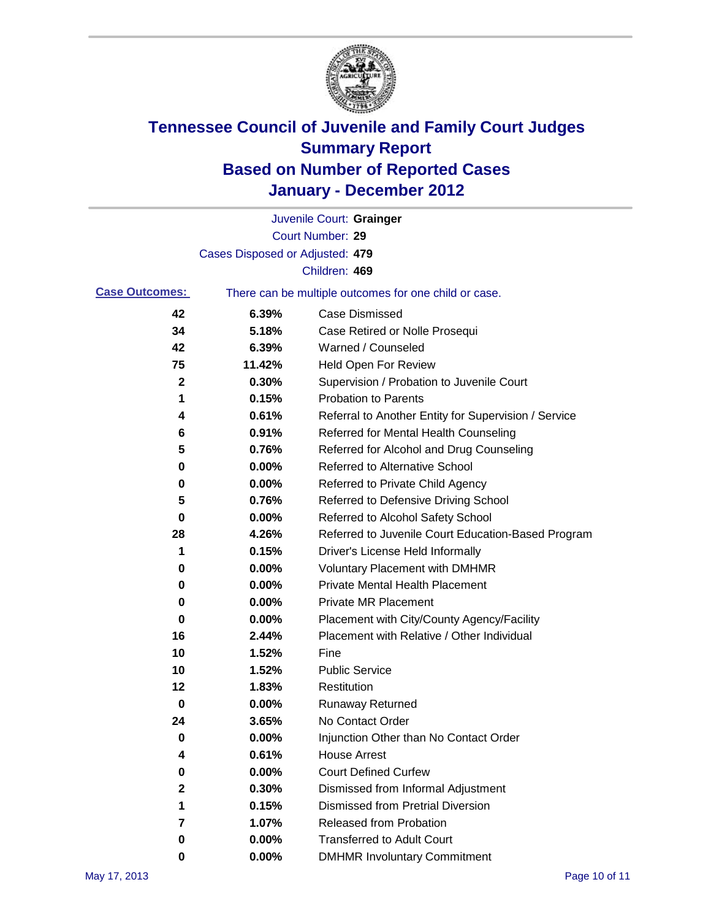

|                       |                                 | Juvenile Court: Grainger                              |
|-----------------------|---------------------------------|-------------------------------------------------------|
|                       |                                 | Court Number: 29                                      |
|                       | Cases Disposed or Adjusted: 479 |                                                       |
|                       |                                 | Children: 469                                         |
| <b>Case Outcomes:</b> |                                 | There can be multiple outcomes for one child or case. |
| 42                    | 6.39%                           | <b>Case Dismissed</b>                                 |
| 34                    | 5.18%                           | Case Retired or Nolle Prosequi                        |
| 42                    | 6.39%                           | Warned / Counseled                                    |
| 75                    | 11.42%                          | <b>Held Open For Review</b>                           |
| 2                     | 0.30%                           | Supervision / Probation to Juvenile Court             |
| 1                     | 0.15%                           | <b>Probation to Parents</b>                           |
| 4                     | 0.61%                           | Referral to Another Entity for Supervision / Service  |
| 6                     | 0.91%                           | Referred for Mental Health Counseling                 |
| 5                     | 0.76%                           | Referred for Alcohol and Drug Counseling              |
| 0                     | 0.00%                           | Referred to Alternative School                        |
| 0                     | 0.00%                           | Referred to Private Child Agency                      |
| 5                     | 0.76%                           | Referred to Defensive Driving School                  |
| 0                     | 0.00%                           | Referred to Alcohol Safety School                     |
| 28                    | 4.26%                           | Referred to Juvenile Court Education-Based Program    |
| 1                     | 0.15%                           | Driver's License Held Informally                      |
| 0                     | 0.00%                           | <b>Voluntary Placement with DMHMR</b>                 |
| 0                     | 0.00%                           | <b>Private Mental Health Placement</b>                |
| 0                     | 0.00%                           | <b>Private MR Placement</b>                           |
| 0                     | 0.00%                           | Placement with City/County Agency/Facility            |
| 16                    | 2.44%                           | Placement with Relative / Other Individual            |
| 10                    | 1.52%                           | Fine                                                  |
| 10                    | 1.52%                           | <b>Public Service</b>                                 |
| 12                    | 1.83%                           | Restitution                                           |
| 0                     | 0.00%                           | Runaway Returned                                      |
| 24                    | 3.65%                           | No Contact Order                                      |
| 0                     | 0.00%                           | Injunction Other than No Contact Order                |
| 4                     | 0.61%                           | <b>House Arrest</b>                                   |
| 0                     | 0.00%                           | <b>Court Defined Curfew</b>                           |
| $\mathbf 2$           | 0.30%                           | Dismissed from Informal Adjustment                    |
| 1                     | 0.15%                           | <b>Dismissed from Pretrial Diversion</b>              |
| 7                     | 1.07%                           | Released from Probation                               |
| 0                     | 0.00%                           | <b>Transferred to Adult Court</b>                     |
| 0                     | 0.00%                           | <b>DMHMR Involuntary Commitment</b>                   |